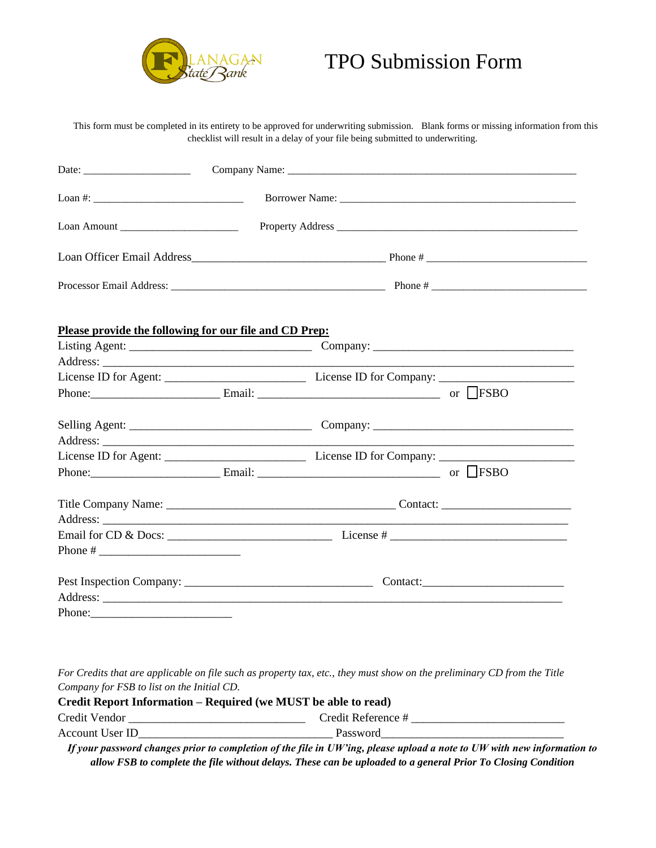

## TPO Submission Form

This form must be completed in its entirety to be approved for underwriting submission. Blank forms or missing information from this checklist will result in a delay of your file being submitted to underwriting.

| Date: $\frac{1}{\sqrt{1-\frac{1}{2}}}\left\{ \frac{1}{2}, \frac{1}{2}, \frac{1}{2}, \frac{1}{2}, \frac{1}{2}\right\}$ |  |  |                                                                                                                       |  |  |  |
|-----------------------------------------------------------------------------------------------------------------------|--|--|-----------------------------------------------------------------------------------------------------------------------|--|--|--|
|                                                                                                                       |  |  |                                                                                                                       |  |  |  |
| Loan Amount                                                                                                           |  |  |                                                                                                                       |  |  |  |
|                                                                                                                       |  |  |                                                                                                                       |  |  |  |
|                                                                                                                       |  |  |                                                                                                                       |  |  |  |
| Please provide the following for our file and CD Prep:                                                                |  |  |                                                                                                                       |  |  |  |
|                                                                                                                       |  |  |                                                                                                                       |  |  |  |
|                                                                                                                       |  |  | <u> 1989 - Johann John Stone, markin film yn y brening yn y brening y de yn y brening y brening yn y brening y br</u> |  |  |  |
|                                                                                                                       |  |  |                                                                                                                       |  |  |  |
|                                                                                                                       |  |  |                                                                                                                       |  |  |  |
|                                                                                                                       |  |  |                                                                                                                       |  |  |  |
|                                                                                                                       |  |  |                                                                                                                       |  |  |  |
|                                                                                                                       |  |  |                                                                                                                       |  |  |  |
| Phone: Email: Email: The Contract of LESBO                                                                            |  |  |                                                                                                                       |  |  |  |
|                                                                                                                       |  |  |                                                                                                                       |  |  |  |
|                                                                                                                       |  |  |                                                                                                                       |  |  |  |
|                                                                                                                       |  |  |                                                                                                                       |  |  |  |
|                                                                                                                       |  |  |                                                                                                                       |  |  |  |
|                                                                                                                       |  |  |                                                                                                                       |  |  |  |
|                                                                                                                       |  |  |                                                                                                                       |  |  |  |

*For Credits that are applicable on file such as property tax, etc., they must show on the preliminary CD from the Title Company for FSB to list on the Initial CD.*

| Credit Report Information – Required (we MUST be able to read) |                    |  |  |  |  |  |
|----------------------------------------------------------------|--------------------|--|--|--|--|--|
| Credit Vendor                                                  | Credit Reference # |  |  |  |  |  |
| Account User ID                                                | Password           |  |  |  |  |  |

*If your password changes prior to completion of the file in UW'ing, please upload a note to UW with new information to allow FSB to complete the file without delays. These can be uploaded to a general Prior To Closing Condition*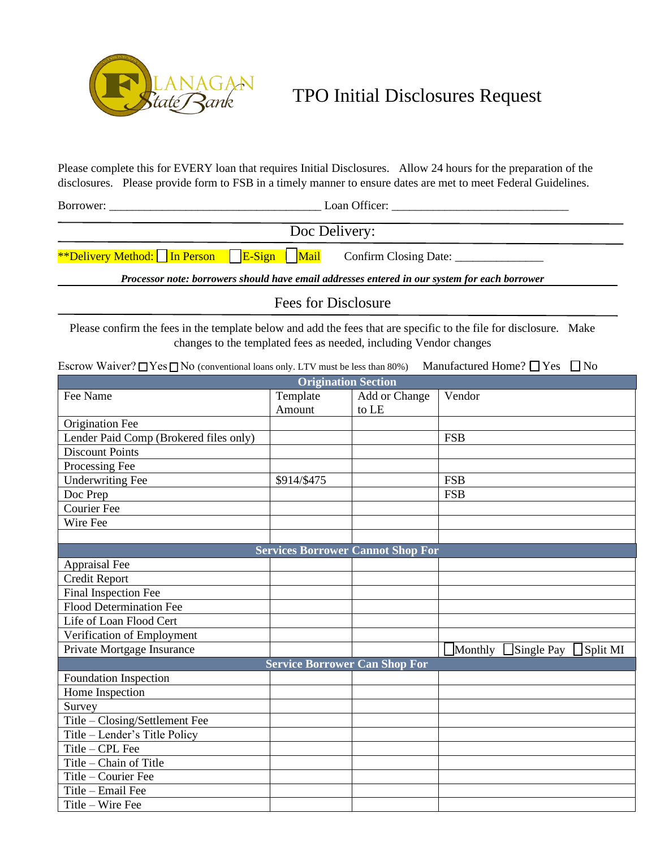

TPO Initial Disclosures Request

Please complete this for EVERY loan that requires Initial Disclosures. Allow 24 hours for the preparation of the disclosures. Please provide form to FSB in a timely manner to ensure dates are met to meet Federal Guidelines.

Borrower: \_\_\_\_\_\_\_\_\_\_\_\_\_\_\_\_\_\_\_\_\_\_\_\_\_\_\_\_\_\_\_\_\_\_\_\_ Loan Officer: \_\_\_\_\_\_\_\_\_\_\_\_\_\_\_\_\_\_\_\_\_\_\_\_\_\_\_\_\_\_

Doc Delivery:

\*\*Delivery Method:  $\Box$  In Person  $\Box$  E-Sign  $\Box$  Mail Confirm Closing Date:  $\Box$ 

*Processor note: borrowers should have email addresses entered in our system for each borrower*

Fees for Disclosure

Please confirm the fees in the template below and add the fees that are specific to the file for disclosure. Make changes to the templated fees as needed, including Vendor changes

Escrow Waiver?  $\Box$  Yes  $\Box$  No (conventional loans only. LTV must be less than 80%) Manufactured Home?  $\Box$  Yes  $\Box$  No

| <b>Origination Section</b>             |             |                                          |                                          |  |  |  |
|----------------------------------------|-------------|------------------------------------------|------------------------------------------|--|--|--|
| Fee Name                               | Template    | Add or Change                            | Vendor                                   |  |  |  |
|                                        | Amount      | to LE                                    |                                          |  |  |  |
| Origination Fee                        |             |                                          |                                          |  |  |  |
| Lender Paid Comp (Brokered files only) |             |                                          | <b>FSB</b>                               |  |  |  |
| <b>Discount Points</b>                 |             |                                          |                                          |  |  |  |
| Processing Fee                         |             |                                          |                                          |  |  |  |
| <b>Underwriting Fee</b>                | \$914/\$475 |                                          | <b>FSB</b>                               |  |  |  |
| Doc Prep                               |             |                                          | <b>FSB</b>                               |  |  |  |
| Courier Fee                            |             |                                          |                                          |  |  |  |
| Wire Fee                               |             |                                          |                                          |  |  |  |
|                                        |             |                                          |                                          |  |  |  |
|                                        |             | <b>Services Borrower Cannot Shop For</b> |                                          |  |  |  |
| Appraisal Fee                          |             |                                          |                                          |  |  |  |
| <b>Credit Report</b>                   |             |                                          |                                          |  |  |  |
| <b>Final Inspection Fee</b>            |             |                                          |                                          |  |  |  |
| <b>Flood Determination Fee</b>         |             |                                          |                                          |  |  |  |
| Life of Loan Flood Cert                |             |                                          |                                          |  |  |  |
| Verification of Employment             |             |                                          |                                          |  |  |  |
| Private Mortgage Insurance             |             |                                          | $\Box$ Single Pay<br>Monthly<br>Split MI |  |  |  |
| <b>Service Borrower Can Shop For</b>   |             |                                          |                                          |  |  |  |
| Foundation Inspection                  |             |                                          |                                          |  |  |  |
| Home Inspection                        |             |                                          |                                          |  |  |  |
| Survey                                 |             |                                          |                                          |  |  |  |
| Title - Closing/Settlement Fee         |             |                                          |                                          |  |  |  |
| Title - Lender's Title Policy          |             |                                          |                                          |  |  |  |
| Title - CPL Fee                        |             |                                          |                                          |  |  |  |
| Title – Chain of Title                 |             |                                          |                                          |  |  |  |
| Title - Courier Fee                    |             |                                          |                                          |  |  |  |
| Title - Email Fee                      |             |                                          |                                          |  |  |  |
| Title - Wire Fee                       |             |                                          |                                          |  |  |  |